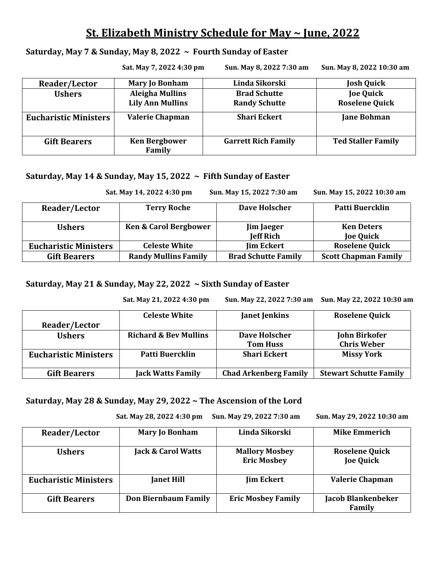# **St. Elizabeth Ministry Schedule for May ~ June, 2022**

#### **Saturday, May 7 & Sunday, May 8, 2022 ~ Fourth Sunday of Easter**

|                              | Sat. May 7, 2022 4:30 pm       | Sun. May 8, 2022 7:30 am   | Sun. May 8, 2022 10:30 am |
|------------------------------|--------------------------------|----------------------------|---------------------------|
| Reader/Lector                | <b>Mary Jo Bonham</b>          | Linda Sikorski             | <b>Josh Quick</b>         |
| <b>Ushers</b>                | <b>Aleigha Mullins</b>         | <b>Brad Schutte</b>        | <b>Joe Quick</b>          |
|                              | <b>Lily Ann Mullins</b>        | <b>Randy Schutte</b>       | <b>Roselene Quick</b>     |
| <b>Eucharistic Ministers</b> | <b>Valerie Chapman</b>         | <b>Shari Eckert</b>        | <b>Jane Bohman</b>        |
| <b>Gift Bearers</b>          | <b>Ken Bergbower</b><br>Family | <b>Garrett Rich Family</b> | <b>Ted Staller Family</b> |

# **Saturday, May 14 & Sunday, May 15, 2022 ~ Fifth Sunday of Easter**

|                              | Sat. May 14, 2022 4:30 pm        | Sun. May 15, 2022 7:30 am  | Sun. May 15, 2022 10:30 am  |
|------------------------------|----------------------------------|----------------------------|-----------------------------|
| Reader/Lector                | <b>Terry Roche</b>               | Dave Holscher              | Patti Buercklin             |
| <b>Ushers</b>                | <b>Ken &amp; Carol Bergbower</b> | <b>Jim Jaeger</b>          | <b>Ken Deters</b>           |
|                              |                                  | <b>Jeff Rich</b>           | <b>Joe Quick</b>            |
| <b>Eucharistic Ministers</b> | <b>Celeste White</b>             | <b>Jim Eckert</b>          | <b>Roselene Quick</b>       |
| <b>Gift Bearers</b>          | <b>Randy Mullins Family</b>      | <b>Brad Schutte Family</b> | <b>Scott Chapman Family</b> |

**Saturday, May 21 & Sunday, May 22, 2022 ~ Sixth Sunday of Easter** 

 **Sat. May 21, 2022 4:30 pm Sun. May 22, 2022 7:30 am Sun. May 22, 2022 10:30 am** 

|                              | <b>Celeste White</b>             | <b>Janet Jenkins</b>         | <b>Roselene Quick</b>         |
|------------------------------|----------------------------------|------------------------------|-------------------------------|
| Reader/Lector                |                                  |                              |                               |
| <b>Ushers</b>                | <b>Richard &amp; Bev Mullins</b> | Dave Holscher                | <b>John Birkofer</b>          |
|                              |                                  | <b>Tom Huss</b>              | <b>Chris Weber</b>            |
| <b>Eucharistic Ministers</b> | Patti Buercklin                  | <b>Shari Eckert</b>          | <b>Missy York</b>             |
| <b>Gift Bearers</b>          | <b>Jack Watts Family</b>         | <b>Chad Arkenberg Family</b> | <b>Stewart Schutte Family</b> |

## **Saturday, May 28 & Sunday, May 29, 2022 ~ The Ascension of the Lord**

 **Sat. May 28, 2022 4:30 pm Sun. May 29, 2022 7:30 am Sun. May 29, 2022 10:30 am**

| Reader/Lector                | <b>Mary Jo Bonham</b>         | Linda Sikorski                              | <b>Mike Emmerich</b>                      |
|------------------------------|-------------------------------|---------------------------------------------|-------------------------------------------|
| <b>Ushers</b>                | <b>Jack &amp; Carol Watts</b> | <b>Mallory Mosbey</b><br><b>Eric Mosbey</b> | <b>Roselene Quick</b><br><b>Joe Quick</b> |
| <b>Eucharistic Ministers</b> | <b>Janet Hill</b>             | <b>Jim Eckert</b>                           | <b>Valerie Chapman</b>                    |
| <b>Gift Bearers</b>          | <b>Don Biernbaum Family</b>   | <b>Eric Mosbey Family</b>                   | <b>Jacob Blankenbeker</b><br>Family       |